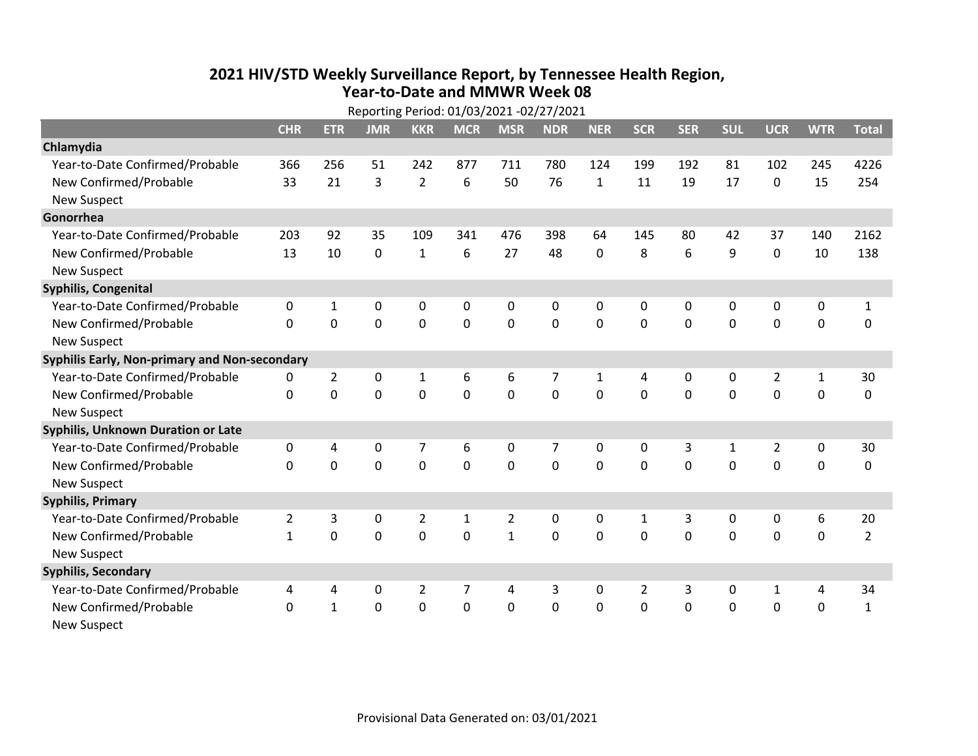## **2021 HIV /STD Weekly Surveillance Report, by Tennessee Health Region, Year‐to‐Date and MMWR Week 08** Reporting Period: 01/03/2021 ‐02/27/2021

|                                               | Reporting Period: 01/03/2021 -02/27/2021 |                |             |                |              |                |                |              |                |             |              |                |              |                |
|-----------------------------------------------|------------------------------------------|----------------|-------------|----------------|--------------|----------------|----------------|--------------|----------------|-------------|--------------|----------------|--------------|----------------|
|                                               | <b>CHR</b>                               | <b>ETR</b>     | <b>JMR</b>  | <b>KKR</b>     | <b>MCR</b>   | <b>MSR</b>     | <b>NDR</b>     | <b>NER</b>   | <b>SCR</b>     | <b>SER</b>  | <b>SUL</b>   | <b>UCR</b>     | <b>WTR</b>   | <b>Total</b>   |
| Chlamydia                                     |                                          |                |             |                |              |                |                |              |                |             |              |                |              |                |
| Year-to-Date Confirmed/Probable               | 366                                      | 256            | 51          | 242            | 877          | 711            | 780            | 124          | 199            | 192         | 81           | 102            | 245          | 4226           |
| New Confirmed/Probable                        | 33                                       | 21             | 3           | $\overline{2}$ | 6            | 50             | 76             | $\mathbf{1}$ | 11             | 19          | 17           | $\mathbf 0$    | 15           | 254            |
| <b>New Suspect</b>                            |                                          |                |             |                |              |                |                |              |                |             |              |                |              |                |
| Gonorrhea                                     |                                          |                |             |                |              |                |                |              |                |             |              |                |              |                |
| Year-to-Date Confirmed/Probable               | 203                                      | 92             | 35          | 109            | 341          | 476            | 398            | 64           | 145            | 80          | 42           | 37             | 140          | 2162           |
| New Confirmed/Probable                        | 13                                       | 10             | $\mathbf 0$ | $\mathbf{1}$   | 6            | 27             | 48             | 0            | 8              | 6           | 9            | $\mathbf 0$    | 10           | 138            |
| <b>New Suspect</b>                            |                                          |                |             |                |              |                |                |              |                |             |              |                |              |                |
| <b>Syphilis, Congenital</b>                   |                                          |                |             |                |              |                |                |              |                |             |              |                |              |                |
| Year-to-Date Confirmed/Probable               | 0                                        | 1              | 0           | 0              | 0            | 0              | 0              | 0            | 0              | 0           | 0            | 0              | 0            | $\mathbf{1}$   |
| New Confirmed/Probable                        | $\Omega$                                 | $\mathbf 0$    | 0           | $\mathbf 0$    | $\mathbf 0$  | $\mathbf 0$    | 0              | $\Omega$     | $\Omega$       | $\mathbf 0$ | $\mathbf 0$  | $\mathbf 0$    | $\mathbf 0$  | 0              |
| <b>New Suspect</b>                            |                                          |                |             |                |              |                |                |              |                |             |              |                |              |                |
| Syphilis Early, Non-primary and Non-secondary |                                          |                |             |                |              |                |                |              |                |             |              |                |              |                |
| Year-to-Date Confirmed/Probable               | 0                                        | $\overline{2}$ | 0           | $\mathbf{1}$   | 6            | 6              | 7              | 1            | 4              | 0           | 0            | $\overline{2}$ | $\mathbf{1}$ | 30             |
| New Confirmed/Probable                        | $\Omega$                                 | 0              | 0           | 0              | $\mathbf 0$  | $\mathbf 0$    | 0              | $\Omega$     | $\Omega$       | $\Omega$    | 0            | $\mathbf 0$    | $\mathbf 0$  | 0              |
| <b>New Suspect</b>                            |                                          |                |             |                |              |                |                |              |                |             |              |                |              |                |
| Syphilis, Unknown Duration or Late            |                                          |                |             |                |              |                |                |              |                |             |              |                |              |                |
| Year-to-Date Confirmed/Probable               | 0                                        | 4              | 0           | 7              | 6            | 0              | 7              | 0            | 0              | 3           | 1            | $\overline{2}$ | 0            | 30             |
| New Confirmed/Probable                        | $\Omega$                                 | $\Omega$       | 0           | 0              | 0            | $\mathbf 0$    | 0              | $\Omega$     | $\Omega$       | $\Omega$    | $\Omega$     | 0              | $\mathbf 0$  | 0              |
| <b>New Suspect</b>                            |                                          |                |             |                |              |                |                |              |                |             |              |                |              |                |
| <b>Syphilis, Primary</b>                      |                                          |                |             |                |              |                |                |              |                |             |              |                |              |                |
| Year-to-Date Confirmed/Probable               | $\overline{2}$                           | 3              | 0           | 2              | $\mathbf{1}$ | $\overline{2}$ | 0              | 0            | $\mathbf{1}$   | 3           | $\mathbf{0}$ | $\mathbf{0}$   | 6            | 20             |
| New Confirmed/Probable                        | $\mathbf{1}$                             | $\Omega$       | $\Omega$    | $\Omega$       | $\Omega$     | $\mathbf{1}$   | $\Omega$       | $\Omega$     | $\Omega$       | $\Omega$    | $\Omega$     | 0              | 0            | $\overline{2}$ |
| <b>New Suspect</b>                            |                                          |                |             |                |              |                |                |              |                |             |              |                |              |                |
| <b>Syphilis, Secondary</b>                    |                                          |                |             |                |              |                |                |              |                |             |              |                |              |                |
| Year-to-Date Confirmed/Probable               | 4                                        | 4              | 0           | $\overline{2}$ | 7            | 4              | 3              | $\mathbf{0}$ | $\overline{2}$ | 3           | 0            | 1              | 4            | 34             |
| New Confirmed/Probable                        | $\Omega$                                 | $\mathbf{1}$   | 0           | $\mathbf 0$    | $\mathbf 0$  | $\mathbf 0$    | $\overline{0}$ | $\Omega$     | $\Omega$       | $\mathbf 0$ | $\mathbf 0$  | $\mathbf 0$    | $\mathbf 0$  | $\mathbf{1}$   |
| <b>New Suspect</b>                            |                                          |                |             |                |              |                |                |              |                |             |              |                |              |                |